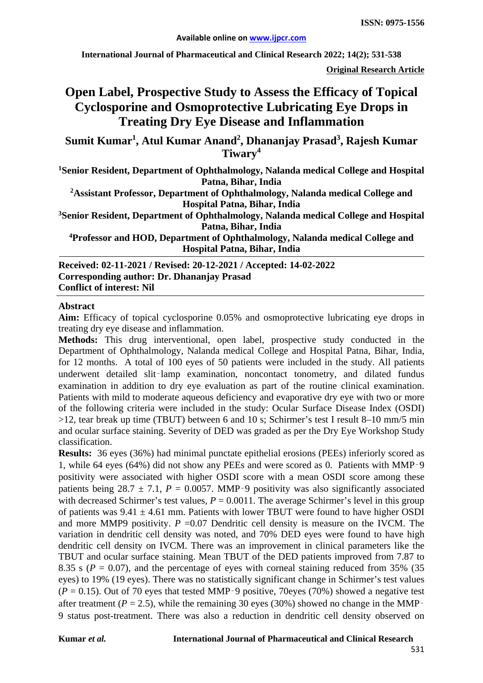**International Journal of Pharmaceutical and Clinical Research 2022; 14(2); 531-538**

**Original Research Article**

# **Open Label, Prospective Study to Assess the Efficacy of Topical Cyclosporine and Osmoprotective Lubricating Eye Drops in Treating Dry Eye Disease and Inflammation**

**Sumit Kumar1 , Atul Kumar Anand2 , Dhananjay Prasad<sup>3</sup> , Rajesh Kumar Tiwary<sup>4</sup>**

**1 Senior Resident, Department of Ophthalmology, Nalanda medical College and Hospital Patna, Bihar, India**

**2Assistant Professor, Department of Ophthalmology, Nalanda medical College and Hospital Patna, Bihar, India**

**3 Senior Resident, Department of Ophthalmology, Nalanda medical College and Hospital Patna, Bihar, India**

**4Professor and HOD, Department of Ophthalmology, Nalanda medical College and Hospital Patna, Bihar, India**

**Received: 02-11-2021 / Revised: 20-12-2021 / Accepted: 14-02-2022 Corresponding author: Dr. Dhananjay Prasad Conflict of interest: Nil**

#### **Abstract**

**Aim:** Efficacy of topical cyclosporine 0.05% and osmoprotective lubricating eye drops in treating dry eye disease and inflammation.

**Methods:** This drug interventional, open label, prospective study conducted in the Department of Ophthalmology, Nalanda medical College and Hospital Patna, Bihar, India, for 12 months. A total of 100 eyes of 50 patients were included in the study. All patients underwent detailed slit-lamp examination, noncontact tonometry, and dilated fundus examination in addition to dry eye evaluation as part of the routine clinical examination. Patients with mild to moderate aqueous deficiency and evaporative dry eye with two or more of the following criteria were included in the study: Ocular Surface Disease Index (OSDI) >12, tear break up time (TBUT) between 6 and 10 s; Schirmer's test I result 8–10 mm/5 min and ocular surface staining. Severity of DED was graded as per the Dry Eye Workshop Study classification.

**Results:** 36 eyes (36%) had minimal punctate epithelial erosions (PEEs) inferiorly scored as 1, while 64 eyes (64%) did not show any PEEs and were scored as 0. Patients with MMP‑9 positivity were associated with higher OSDI score with a mean OSDI score among these patients being  $28.7 \pm 7.1$ ,  $P = 0.0057$ . MMP-9 positivity was also significantly associated with decreased Schirmer's test values,  $P = 0.0011$ . The average Schirmer's level in this group of patients was  $9.41 \pm 4.61$  mm. Patients with lower TBUT were found to have higher OSDI and more MMP9 positivity.  $P = 0.07$  Dendritic cell density is measure on the IVCM. The variation in dendritic cell density was noted, and 70% DED eyes were found to have high dendritic cell density on IVCM. There was an improvement in clinical parameters like the TBUT and ocular surface staining. Mean TBUT of the DED patients improved from 7.87 to 8.35 s ( $P = 0.07$ ), and the percentage of eyes with corneal staining reduced from 35% (35) eyes) to 19% (19 eyes). There was no statistically significant change in Schirmer's test values  $(P = 0.15)$ . Out of 70 eyes that tested MMP-9 positive, 70eyes (70%) showed a negative test after treatment ( $P = 2.5$ ), while the remaining 30 eyes (30%) showed no change in the MMP 9 status post-treatment. There was also a reduction in dendritic cell density observed on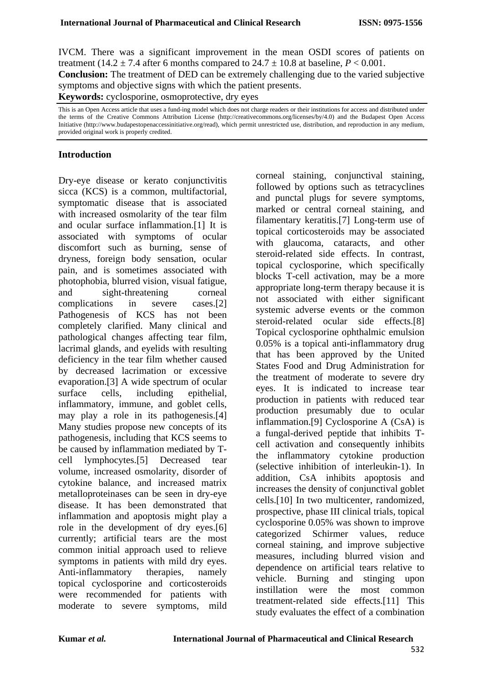IVCM. There was a significant improvement in the mean OSDI scores of patients on treatment (14.2  $\pm$  7.4 after 6 months compared to 24.7  $\pm$  10.8 at baseline, *P* < 0.001. **Conclusion:** The treatment of DED can be extremely challenging due to the varied subjective symptoms and objective signs with which the patient presents.

**Keywords:** cyclosporine, osmoprotective, dry eyes

This is an Open Access article that uses a fund-ing model which does not charge readers or their institutions for access and distributed under the terms of the Creative Commons Attribution License (http://creativecommons.org/licenses/by/4.0) and the Budapest Open Access Initiative (http://www.budapestopenaccessinitiative.org/read), which permit unrestricted use, distribution, and reproduction in any medium, provided original work is properly credited.

#### **Introduction**

Dry-eye disease or kerato conjunctivitis sicca (KCS) is a common, multifactorial, symptomatic disease that is associated with increased osmolarity of the tear film and ocular surface inflammation.[1] It is associated with symptoms of ocular discomfort such as burning, sense of dryness, foreign body sensation, ocular pain, and is sometimes associated with photophobia, blurred vision, visual fatigue, and sight-threatening corneal complications in severe cases.[2] Pathogenesis of KCS has not been completely clarified. Many clinical and pathological changes affecting tear film, lacrimal glands, and eyelids with resulting deficiency in the tear film whether caused by decreased lacrimation or excessive evaporation.[3] A wide spectrum of ocular surface cells, including epithelial, inflammatory, immune, and goblet cells, may play a role in its pathogenesis.[4] Many studies propose new concepts of its pathogenesis, including that KCS seems to be caused by inflammation mediated by Tcell lymphocytes.[5] Decreased tear volume, increased osmolarity, disorder of cytokine balance, and increased matrix metalloproteinases can be seen in dry-eye disease. It has been demonstrated that inflammation and apoptosis might play a role in the development of dry eyes.[6] currently; artificial tears are the most common initial approach used to relieve symptoms in patients with mild dry eyes. Anti-inflammatory therapies, namely topical cyclosporine and corticosteroids were recommended for patients with moderate to severe symptoms, mild

corneal staining, conjunctival staining, followed by options such as tetracyclines and punctal plugs for severe symptoms, marked or central corneal staining, and filamentary keratitis.[7] Long-term use of topical corticosteroids may be associated with glaucoma, cataracts, and other steroid-related side effects. In contrast, topical cyclosporine, which specifically blocks T-cell activation, may be a more appropriate long-term therapy because it is not associated with either significant systemic adverse events or the common steroid-related ocular side effects.[8] Topical cyclosporine ophthalmic emulsion 0.05% is a topical anti-inflammatory drug that has been approved by the United States Food and Drug Administration for the treatment of moderate to severe dry eyes. It is indicated to increase tear production in patients with reduced tear production presumably due to ocular inflammation.[9] Cyclosporine A (CsA) is a fungal-derived peptide that inhibits Tcell activation and consequently inhibits the inflammatory cytokine production (selective inhibition of interleukin-1). In addition, CsA inhibits apoptosis and increases the density of conjunctival goblet cells.[10] In two multicenter, randomized, prospective, phase III clinical trials, topical cyclosporine 0.05% was shown to improve categorized Schirmer values, reduce corneal staining, and improve subjective measures, including blurred vision and dependence on artificial tears relative to vehicle. Burning and stinging upon instillation were the most common treatment-related side effects.[11] This study evaluates the effect of a combination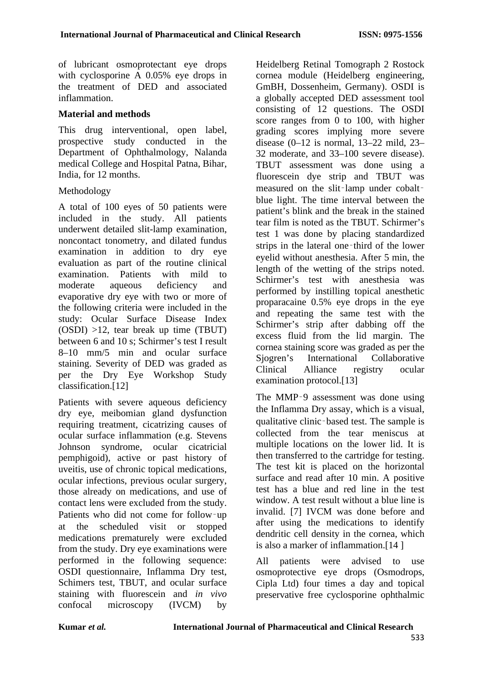of lubricant osmoprotectant eye drops with cyclosporine  $\overline{A}$  0.05% eve drops in the treatment of DED and associated inflammation.

### **Material and methods**

This drug interventional, open label, prospective study conducted in the Department of Ophthalmology, Nalanda medical College and Hospital Patna, Bihar, India, for 12 months.

#### Methodology

A total of 100 eyes of 50 patients were included in the study. All patients underwent detailed slit-lamp examination, noncontact tonometry, and dilated fundus examination in addition to dry eye evaluation as part of the routine clinical examination. Patients with mild to moderate aqueous deficiency and evaporative dry eye with two or more of the following criteria were included in the study: Ocular Surface Disease Index (OSDI) >12, tear break up time (TBUT) between 6 and 10 s; Schirmer's test I result 8–10 mm/5 min and ocular surface staining. Severity of DED was graded as per the Dry Eye Workshop Study classification.[12]

Patients with severe aqueous deficiency dry eye, meibomian gland dysfunction requiring treatment, cicatrizing causes of ocular surface inflammation (e.g. Stevens Johnson syndrome, ocular cicatricial pemphigoid), active or past history of uveitis, use of chronic topical medications, ocular infections, previous ocular surgery, those already on medications, and use of contact lens were excluded from the study. Patients who did not come for follow‑up at the scheduled visit or stopped medications prematurely were excluded from the study. Dry eye examinations were performed in the following sequence: OSDI questionnaire, Inflamma Dry test, Schimers test, TBUT, and ocular surface staining with fluorescein and *in vivo*  confocal microscopy (IVCM) by

Heidelberg Retinal Tomograph 2 Rostock cornea module (Heidelberg engineering, GmBH, Dossenheim, Germany). OSDI is a globally accepted DED assessment tool consisting of 12 questions. The OSDI score ranges from 0 to 100, with higher grading scores implying more severe disease  $(0-12$  is normal,  $13-22$  mild,  $23-$ 32 moderate, and 33–100 severe disease). TBUT assessment was done using a fluorescein dye strip and TBUT was measured on the slit-lamp under cobaltblue light. The time interval between the patient's blink and the break in the stained tear film is noted as the TBUT. Schirmer's test 1 was done by placing standardized strips in the lateral one‑third of the lower eyelid without anesthesia. After 5 min, the length of the wetting of the strips noted. Schirmer's test with anesthesia was performed by instilling topical anesthetic proparacaine 0.5% eye drops in the eye and repeating the same test with the Schirmer's strip after dabbing off the excess fluid from the lid margin. The cornea staining score was graded as per the Sjogren's International Collaborative Clinical Alliance registry ocular examination protocol.[13]

The MMP-9 assessment was done using the Inflamma Dry assay, which is a visual, qualitative clinic-based test. The sample is collected from the tear meniscus at multiple locations on the lower lid. It is then transferred to the cartridge for testing. The test kit is placed on the horizontal surface and read after 10 min. A positive test has a blue and red line in the test window. A test result without a blue line is invalid. [7] IVCM was done before and after using the medications to identify dendritic cell density in the cornea, which is also a marker of inflammation.[14 ]

All patients were advised to use osmoprotective eye drops (Osmodrops, Cipla Ltd) four times a day and topical preservative free cyclosporine ophthalmic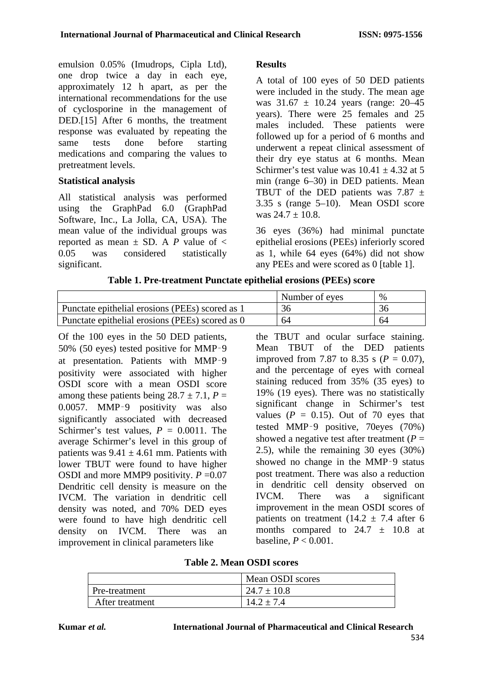emulsion 0.05% (Imudrops, Cipla Ltd), one drop twice a day in each eye, approximately 12 h apart, as per the international recommendations for the use of cyclosporine in the management of DED.[15] After 6 months, the treatment response was evaluated by repeating the same tests done before starting medications and comparing the values to pretreatment levels.

## **Statistical analysis**

All statistical analysis was performed using the GraphPad 6.0 (GraphPad Software, Inc., La Jolla, CA, USA). The mean value of the individual groups was reported as mean  $\pm$  SD. A *P* value of  $\lt$ 0.05 was considered statistically significant.

# **Results**

A total of 100 eyes of 50 DED patients were included in the study. The mean age was  $31.67 \pm 10.24$  years (range: 20–45) years). There were 25 females and 25 males included. These patients were followed up for a period of 6 months and underwent a repeat clinical assessment of their dry eye status at 6 months. Mean Schirmer's test value was  $10.41 \pm 4.32$  at 5 min (range 6–30) in DED patients. Mean TBUT of the DED patients was 7.87  $\pm$ 3.35 s (range 5–10). Mean OSDI score was  $24.7 + 10.8$ .

36 eyes (36%) had minimal punctate epithelial erosions (PEEs) inferiorly scored as 1, while 64 eyes (64%) did not show any PEEs and were scored as 0 [table 1].

| Table 1. I Te-treatment I unclute epithelial el osions (I EES) score |                |      |
|----------------------------------------------------------------------|----------------|------|
|                                                                      | Number of eyes | $\%$ |
| Punctate epithelial erosions (PEEs) scored as 1                      | 36             | 36   |
| Punctate epithelial erosions (PEEs) scored as 0                      | 64             | 64   |

**Table 1. Pre-treatment Punctate epithelial erosions (PEEs) score**

Of the 100 eyes in the 50 DED patients, 50% (50 eyes) tested positive for MMP‑9 at presentation. Patients with MMP‑9 positivity were associated with higher OSDI score with a mean OSDI score among these patients being  $28.7 \pm 7.1$ ,  $P =$ 0.0057. MMP‑9 positivity was also significantly associated with decreased Schirmer's test values,  $P = 0.0011$ . The average Schirmer's level in this group of patients was  $9.41 \pm 4.61$  mm. Patients with lower TBUT were found to have higher OSDI and more MMP9 positivity. *P* =0.07 Dendritic cell density is measure on the IVCM. The variation in dendritic cell density was noted, and 70% DED eyes were found to have high dendritic cell density on IVCM. There was an improvement in clinical parameters like

the TBUT and ocular surface staining. Mean TBUT of the DED patients improved from 7.87 to 8.35 s ( $P = 0.07$ ), and the percentage of eyes with corneal staining reduced from 35% (35 eyes) to 19% (19 eyes). There was no statistically significant change in Schirmer's test values  $(P = 0.15)$ . Out of 70 eyes that tested MMP‑9 positive, 70eyes (70%) showed a negative test after treatment  $(P =$ 2.5), while the remaining 30 eyes (30%) showed no change in the MMP‑9 status post treatment. There was also a reduction in dendritic cell density observed on IVCM. There was a significant improvement in the mean OSDI scores of patients on treatment (14.2  $\pm$  7.4 after 6 months compared to  $24.7 \pm 10.8$  at baseline, *P* < 0.001.

|                 | Mean OSDI scores |
|-----------------|------------------|
| Pre-treatment   | $24.7 \pm 10.8$  |
| After treatment | $2 + 7.4$        |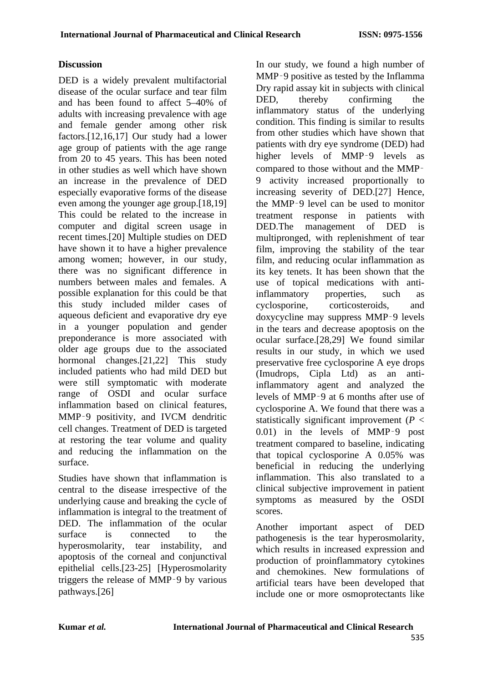# **Discussion**

DED is a widely prevalent multifactorial disease of the ocular surface and tear film and has been found to affect 5–40% of adults with increasing prevalence with age and female gender among other risk factors.[12,16,17] Our study had a lower age group of patients with the age range from 20 to 45 years. This has been noted in other studies as well which have shown an increase in the prevalence of DED especially evaporative forms of the disease even among the younger age group.[18,19] This could be related to the increase in computer and digital screen usage in recent times.[20] Multiple studies on DED have shown it to have a higher prevalence among women; however, in our study, there was no significant difference in numbers between males and females. A possible explanation for this could be that this study included milder cases of aqueous deficient and evaporative dry eye in a younger population and gender preponderance is more associated with older age groups due to the associated hormonal changes.[21,22] This study included patients who had mild DED but were still symptomatic with moderate range of OSDI and ocular surface inflammation based on clinical features, MMP‑9 positivity, and IVCM dendritic cell changes. Treatment of DED is targeted at restoring the tear volume and quality and reducing the inflammation on the surface.

Studies have shown that inflammation is central to the disease irrespective of the underlying cause and breaking the cycle of inflammation is integral to the treatment of DED. The inflammation of the ocular surface is connected to the hyperosmolarity, tear instability, and apoptosis of the corneal and conjunctival epithelial cells.[23-25] [Hyperosmolarity triggers the release of MMP‑9 by various pathways.[26]

In our study, we found a high number of MMP‑9 positive as tested by the Inflamma Dry rapid assay kit in subjects with clinical DED, thereby confirming the inflammatory status of the underlying condition. This finding is similar to results from other studies which have shown that patients with dry eye syndrome (DED) had higher levels of MMP-9 levels as compared to those without and the MMP‑ 9 activity increased proportionally to increasing severity of DED.[27] Hence, the MMP‑9 level can be used to monitor treatment response in patients with DED.The management of DED is multipronged, with replenishment of tear film, improving the stability of the tear film, and reducing ocular inflammation as its key tenets. It has been shown that the use of topical medications with antiinflammatory properties, such as cyclosporine, corticosteroids, and doxycycline may suppress MMP‑9 levels in the tears and decrease apoptosis on the ocular surface.[28,29] We found similar results in our study, in which we used preservative free cyclosporine A eye drops (Imudrops, Cipla Ltd) as an antiinflammatory agent and analyzed the levels of MMP‑9 at 6 months after use of cyclosporine A. We found that there was a statistically significant improvement (*P* < 0.01) in the levels of MMP‑9 post treatment compared to baseline, indicating that topical cyclosporine A 0.05% was beneficial in reducing the underlying inflammation. This also translated to a clinical subjective improvement in patient symptoms as measured by the OSDI scores.

Another important aspect of DED pathogenesis is the tear hyperosmolarity, which results in increased expression and production of proinflammatory cytokines and chemokines. New formulations of artificial tears have been developed that include one or more osmoprotectants like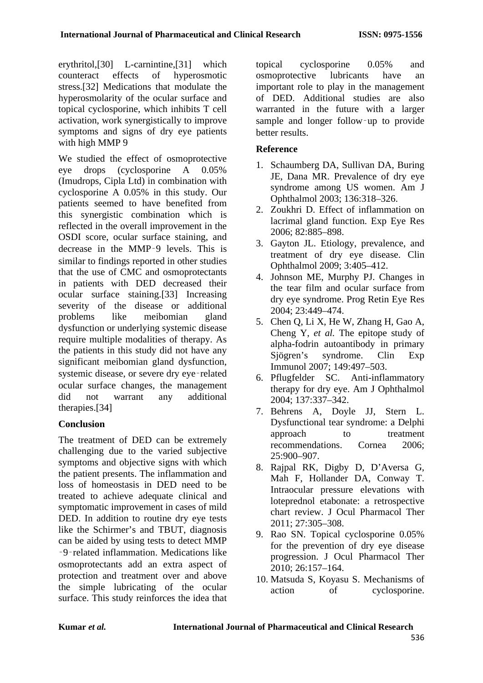erythritol,[30] L-carnintine,[31] which counteract effects of hyperosmotic stress.[32] Medications that modulate the hyperosmolarity of the ocular surface and topical cyclosporine, which inhibits T cell activation, work synergistically to improve symptoms and signs of dry eye patients with high MMP 9

We studied the effect of osmoprotective eye drops (cyclosporine A 0.05% (Imudrops, Cipla Ltd) in combination with cyclosporine A 0.05% in this study. Our patients seemed to have benefited from this synergistic combination which is reflected in the overall improvement in the OSDI score, ocular surface staining, and decrease in the MMP‑9 levels. This is similar to findings reported in other studies that the use of CMC and osmoprotectants in patients with DED decreased their ocular surface staining.[33] Increasing severity of the disease or additional problems like meibomian gland dysfunction or underlying systemic disease require multiple modalities of therapy. As the patients in this study did not have any significant meibomian gland dysfunction, systemic disease, or severe dry eye-related ocular surface changes, the management did not warrant any additional therapies.[34]

# **Conclusion**

The treatment of DED can be extremely challenging due to the varied subjective symptoms and objective signs with which the patient presents. The inflammation and loss of homeostasis in DED need to be treated to achieve adequate clinical and symptomatic improvement in cases of mild DED. In addition to routine dry eye tests like the Schirmer's and TBUT, diagnosis can be aided by using tests to detect MMP ‑9‑related inflammation. Medications like osmoprotectants add an extra aspect of protection and treatment over and above the simple lubricating of the ocular surface. This study reinforces the idea that topical cyclosporine 0.05% and osmoprotective lubricants have an important role to play in the management of DED. Additional studies are also warranted in the future with a larger sample and longer follow-up to provide better results.

## **Reference**

- 1. Schaumberg DA, Sullivan DA, Buring JE, Dana MR. Prevalence of dry eye syndrome among US women. Am J Ophthalmol 2003; 136:318–326.
- 2. Zoukhri D. Effect of inflammation on lacrimal gland function. Exp Eye Res 2006; 82:885–898.
- 3. Gayton JL. Etiology, prevalence, and treatment of dry eye disease. Clin Ophthalmol 2009; 3:405–412.
- 4. Johnson ME, Murphy PJ. Changes in the tear film and ocular surface from dry eye syndrome. Prog Retin Eye Res 2004; 23:449–474.
- 5. Chen Q, Li X, He W, Zhang H, Gao A, Cheng Y, *et al.* The epitope study of alpha-fodrin autoantibody in primary Sjögren's syndrome. Clin Exp Immunol 2007; 149:497–503.
- 6. Pflugfelder SC. Anti-inflammatory therapy for dry eye. Am J Ophthalmol 2004; 137:337–342.
- 7. Behrens A, Doyle JJ, Stern L. Dysfunctional tear syndrome: a Delphi approach to treatment recommendations. Cornea 2006; 25:900–907.
- 8. Rajpal RK, Digby D, D'Aversa G, Mah F, Hollander DA, Conway T. Intraocular pressure elevations with loteprednol etabonate: a retrospective chart review. J Ocul Pharmacol Ther 2011; 27:305–308.
- 9. Rao SN. Topical cyclosporine 0.05% for the prevention of dry eye disease progression. J Ocul Pharmacol Ther 2010; 26:157–164.
- 10. Matsuda S, Koyasu S. Mechanisms of action of cyclosporine.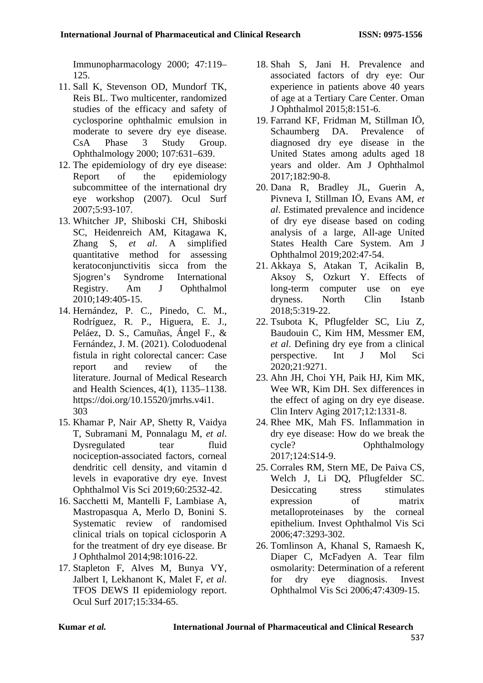Immunopharmacology 2000; 47:119– 125.

- 11. Sall K, Stevenson OD, Mundorf TK, Reis BL. Two multicenter, randomized studies of the efficacy and safety of cyclosporine ophthalmic emulsion in moderate to severe dry eye disease. CsA Phase 3 Study Group. Ophthalmology 2000; 107:631–639.
- 12. The epidemiology of dry eye disease:<br>Report of the epidemiology Report of the epidemiology subcommittee of the international dry eye workshop (2007). Ocul Surf 2007;5:93‑107.
- 13. Whitcher JP, Shiboski CH, Shiboski SC, Heidenreich AM, Kitagawa K, Zhang S, *et al*. A simplified quantitative method for assessing keratoconjunctivitis sicca from the Sjogren's Syndrome International Registry. Am J Ophthalmol 2010;149:405‑15.
- 14. Hernández, P. C., Pinedo, C. M., Rodríguez, R. P., Higuera, E. J., Peláez, D. S., Camuñas, Ángel F., & Fernández, J. M. (2021). Coloduodenal fistula in right colorectal cancer: Case report and review of the literature. Journal of Medical Research and Health Sciences, 4(1), 1135–1138. https://doi.org/10.15520/jmrhs.v4i1. 303
- 15. Khamar P, Nair AP, Shetty R, Vaidya T, Subramani M, Ponnalagu M, *et al*. Dysregulated tear fluid nociception‑associated factors, corneal dendritic cell density, and vitamin d levels in evaporative dry eye. Invest Ophthalmol Vis Sci 2019;60:2532‑42.
- 16. Sacchetti M, Mantelli F, Lambiase A, Mastropasqua A, Merlo D, Bonini S. Systematic review of randomised clinical trials on topical ciclosporin A for the treatment of dry eye disease. Br J Ophthalmol 2014;98:1016‑22.
- 17. Stapleton F, Alves M, Bunya VY, Jalbert I, Lekhanont K, Malet F, *et al*. TFOS DEWS II epidemiology report. Ocul Surf 2017;15:334‑65.
- 18. Shah S, Jani H. Prevalence and associated factors of dry eye: Our experience in patients above 40 years of age at a Tertiary Care Center. Oman J Ophthalmol 2015;8:151‑6.
- 19. Farrand KF, Fridman M, Stillman IÖ, Schaumberg DA. Prevalence of diagnosed dry eye disease in the United States among adults aged 18 years and older. Am J Ophthalmol 2017;182:90‑8.
- 20. Dana R, Bradley JL, Guerin A, Pivneva I, Stillman IÖ, Evans AM, *et al*. Estimated prevalence and incidence of dry eye disease based on coding analysis of a large, All‑age United States Health Care System. Am J Ophthalmol 2019;202:47‑54.
- 21. Akkaya S, Atakan T, Acikalin B, Aksoy S, Ozkurt Y. Effects of long-term computer use on eye dryness. North Clin Istanb 2018;5:319‑22.
- 22. Tsubota K, Pflugfelder SC, Liu Z, Baudouin C, Kim HM, Messmer EM, *et al*. Defining dry eye from a clinical perspective. Int J Mol Sci 2020;21:9271.
- 23. Ahn JH, Choi YH, Paik HJ, Kim MK, Wee WR, Kim DH. Sex differences in the effect of aging on dry eye disease. Clin Interv Aging 2017;12:1331‑8.
- 24. Rhee MK, Mah FS. Inflammation in dry eye disease: How do we break the cycle? Ophthalmology 2017;124:S14‑9.
- 25. Corrales RM, Stern ME, De Paiva CS, Welch J, Li DQ, Pflugfelder SC. Desiccating stress stimulates expression of matrix metalloproteinases by the corneal epithelium. Invest Ophthalmol Vis Sci 2006;47:3293‑302.
- 26. Tomlinson A, Khanal S, Ramaesh K, Diaper C, McFadyen A. Tear film osmolarity: Determination of a referent for dry eye diagnosis. Invest Ophthalmol Vis Sci 2006;47:4309‑15.